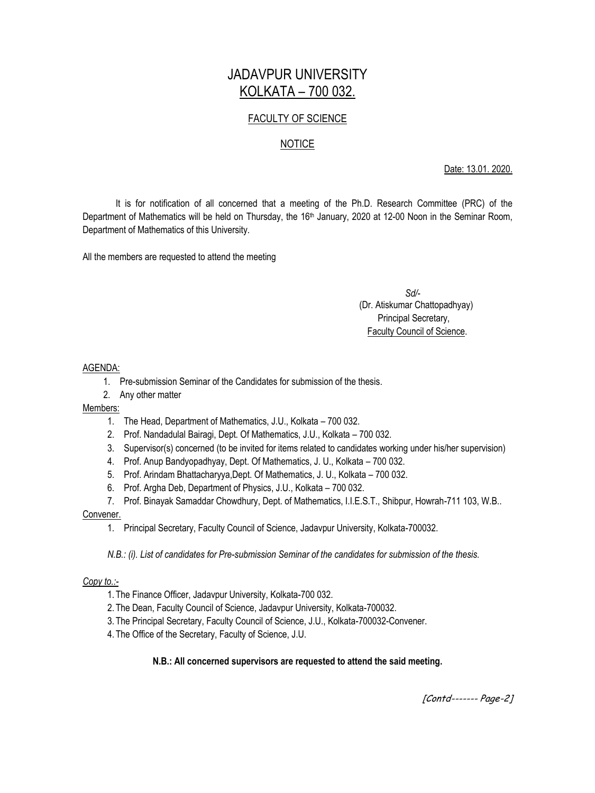# JADAVPUR UNIVERSITY KOLKATA – 700 032.

## FACULTY OF SCIENCE

## NOTICE

Date: 13.01. 2020.

It is for notification of all concerned that a meeting of the Ph.D. Research Committee (PRC) of the Department of Mathematics will be held on Thursday, the 16<sup>th</sup> January, 2020 at 12-00 Noon in the Seminar Room, Department of Mathematics of this University.

All the members are requested to attend the meeting

 *Sd/-* (Dr. Atiskumar Chattopadhyay) Principal Secretary, Faculty Council of Science.

#### AGENDA:

- 1. Pre-submission Seminar of the Candidates for submission of the thesis.
- 2. Any other matter

### Members:

- 1. The Head, Department of Mathematics, J.U., Kolkata 700 032.
- 2. Prof. Nandadulal Bairagi, Dept. Of Mathematics, J.U., Kolkata 700 032.
- 3. Supervisor(s) concerned (to be invited for items related to candidates working under his/her supervision)
- 4. Prof. Anup Bandyopadhyay, Dept. Of Mathematics, J. U., Kolkata 700 032.
- 5. Prof. Arindam Bhattacharyya,Dept. Of Mathematics, J. U., Kolkata 700 032.
- 6. Prof. Argha Deb, Department of Physics, J.U., Kolkata 700 032.
- 7. Prof. Binayak Samaddar Chowdhury, Dept. of Mathematics, I.I.E.S.T., Shibpur, Howrah-711 103, W.B..

### Convener.

1. Principal Secretary, Faculty Council of Science, Jadavpur University, Kolkata-700032.

*N.B.: (i). List of candidates for Pre-submission Seminar of the candidates for submission of the thesis.*

### *Copy to.:-*

- 1. The Finance Officer, Jadavpur University, Kolkata-700 032.
- 2. The Dean, Faculty Council of Science, Jadavpur University, Kolkata-700032.
- 3. The Principal Secretary, Faculty Council of Science, J.U., Kolkata-700032-Convener.
- 4. The Office of the Secretary, Faculty of Science, J.U.

### **N.B.: All concerned supervisors are requested to attend the said meeting.**

[Contd------- Page-2]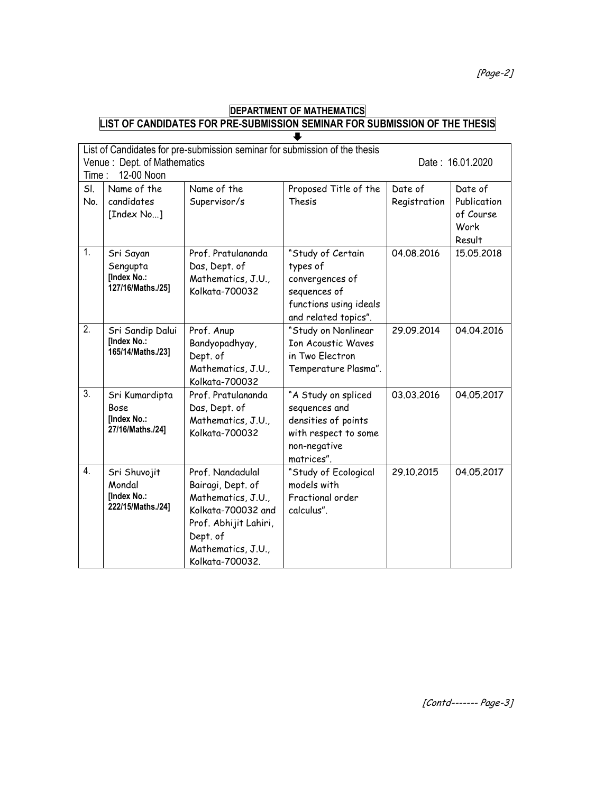[Page-2]

|                                                                            | <b>DEPARTMENT OF MATHEMATICS</b> |  |  |  |
|----------------------------------------------------------------------------|----------------------------------|--|--|--|
| LIST OF CANDIDATES FOR PRE-SUBMISSION SEMINAR FOR SUBMISSION OF THE THESIS |                                  |  |  |  |
|                                                                            |                                  |  |  |  |

| List of Candidates for pre-submission seminar for submission of the thesis<br>Venue: Dept. of Mathematics<br>12-00 Noon<br>Time: |                                                            |                                                                                                                                                                 |                                                                                                                    | Date: 16.01.2020        |                                                       |
|----------------------------------------------------------------------------------------------------------------------------------|------------------------------------------------------------|-----------------------------------------------------------------------------------------------------------------------------------------------------------------|--------------------------------------------------------------------------------------------------------------------|-------------------------|-------------------------------------------------------|
| SI.<br>No.                                                                                                                       | Name of the<br>candidates<br>[Index No]                    | Name of the<br>Supervisor/s                                                                                                                                     | Proposed Title of the<br>Thesis                                                                                    | Date of<br>Registration | Date of<br>Publication<br>of Course<br>Work<br>Result |
| 1.                                                                                                                               | Sri Sayan<br>Sengupta<br>[Index No.:<br>127/16/Maths./25]  | Prof. Pratulananda<br>Das, Dept. of<br>Mathematics, J.U.,<br>Kolkata-700032                                                                                     | "Study of Certain<br>types of<br>convergences of<br>sequences of<br>functions using ideals<br>and related topics". | 04.08.2016              | 15.05.2018                                            |
| $\overline{2}$ .                                                                                                                 | Sri Sandip Dalui<br>[Index No.:<br>165/14/Maths./23]       | Prof. Anup<br>Bandyopadhyay,<br>Dept. of<br>Mathematics, J.U.,<br>Kolkata-700032                                                                                | "Study on Nonlinear<br><b>Ion Acoustic Waves</b><br>in Two Electron<br>Temperature Plasma".                        | 29.09.2014              | 04.04.2016                                            |
| $\overline{3}$ .                                                                                                                 | Sri Kumardipta<br>Bose<br>[Index No.:<br>27/16/Maths./24]  | Prof. Pratulananda<br>Das, Dept. of<br>Mathematics, J.U.,<br>Kolkata-700032                                                                                     | "A Study on spliced<br>sequences and<br>densities of points<br>with respect to some<br>non-negative<br>matrices".  | 03.03.2016              | 04.05.2017                                            |
| $\overline{4}$ .                                                                                                                 | Sri Shuvojit<br>Mondal<br>[Index No.:<br>222/15/Maths./24] | Prof. Nandadulal<br>Bairagi, Dept. of<br>Mathematics, J.U.,<br>Kolkata-700032 and<br>Prof. Abhijit Lahiri,<br>Dept. of<br>Mathematics, J.U.,<br>Kolkata-700032. | "Study of Ecological<br>models with<br>Fractional order<br>calculus".                                              | 29.10.2015              | 04.05.2017                                            |

[Contd------- Page-3]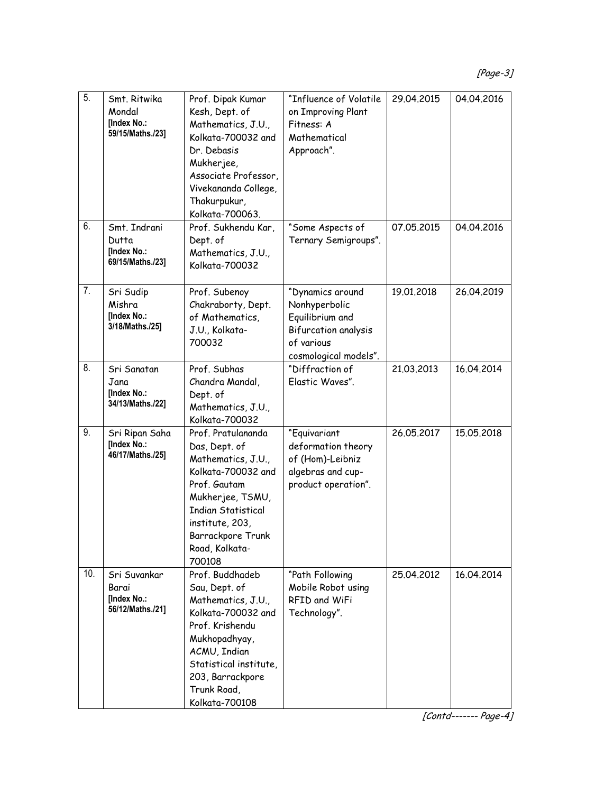| 5.  | Smt. Ritwika<br>Mondal<br>[Index No.:<br>59/15/Maths./23] | Prof. Dipak Kumar<br>Kesh, Dept. of<br>Mathematics, J.U.,<br>Kolkata-700032 and<br>Dr. Debasis<br>Mukherjee,<br>Associate Professor,<br>Vivekananda College,<br>Thakurpukur,<br>Kolkata-700063.                      | "Influence of Volatile<br>on Improving Plant<br>Fitness: A<br>Mathematical<br>Approach".                            | 29.04.2015 | 04.04.2016 |
|-----|-----------------------------------------------------------|----------------------------------------------------------------------------------------------------------------------------------------------------------------------------------------------------------------------|---------------------------------------------------------------------------------------------------------------------|------------|------------|
| 6.  | Smt. Indrani<br>Dutta<br>[Index No.:<br>69/15/Maths./23]  | Prof. Sukhendu Kar,<br>Dept. of<br>Mathematics, J.U.,<br>Kolkata-700032                                                                                                                                              | "Some Aspects of<br>Ternary Semigroups".                                                                            | 07.05.2015 | 04.04.2016 |
| 7.  | Sri Sudip<br>Mishra<br>[Index No.:<br>3/18/Maths./25]     | Prof. Subenoy<br>Chakraborty, Dept.<br>of Mathematics,<br>J.U., Kolkata-<br>700032                                                                                                                                   | "Dynamics around<br>Nonhyperbolic<br>Equilibrium and<br>Bifurcation analysis<br>of various<br>cosmological models". | 19.01.2018 | 26.04.2019 |
| 8.  | Sri Sanatan<br>Jana<br>[Index No.:<br>34/13/Maths./22]    | Prof. Subhas<br>Chandra Mandal,<br>Dept. of<br>Mathematics, J.U.,<br>Kolkata-700032                                                                                                                                  | "Diffraction of<br>Elastic Waves".                                                                                  | 21.03.2013 | 16.04.2014 |
| 9.  | Sri Ripan Saha<br>[Index No.:<br>46/17/Maths./25]         | Prof. Pratulananda<br>Das, Dept. of<br>Mathematics, J.U.,<br>Kolkata-700032 and<br>Prof. Gautam<br>Mukherjee, TSMU,<br><b>Indian Statistical</b><br>institute, 203,<br>Barrackpore Trunk<br>Road, Kolkata-<br>700108 | "Equivariant<br>deformation theory<br>of (Hom)-Leibniz<br>algebras and cup-<br>product operation".                  | 26.05.2017 | 15.05.2018 |
| 10. | Sri Suvankar<br>Barai<br>[Index No.:<br>56/12/Maths./21]  | Prof. Buddhadeb<br>Sau, Dept. of<br>Mathematics, J.U.,<br>Kolkata-700032 and<br>Prof. Krishendu<br>Mukhopadhyay,<br>ACMU, Indian<br>Statistical institute,<br>203, Barrackpore<br>Trunk Road,<br>Kolkata-700108      | "Path Following<br>Mobile Robot using<br>RFID and WiFi<br>Technology".                                              | 25.04.2012 | 16.04.2014 |

[Contd------- Page-4]